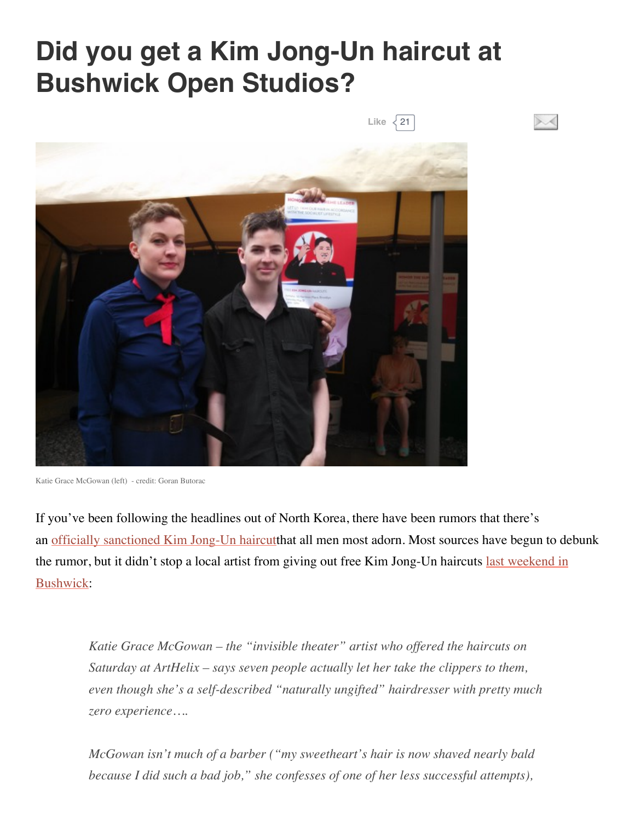## **Did you get a Kim Jong-Un haircut at Bushwick Open Studios?**

 $\sim$ 



Katie Grace McGowan (left) - credit: Goran Butorac

If you've been following the headlines out of North Korea, there have been rumors that there's an officially [sanctioned](http://www.theguardian.com/world/gallery/2014/apr/24/north-korean-hair-cuts-in-pictures) Kim Jong-Un haircutthat all men most adorn. Most sources have begun to debunk the rumor, but it didn't stop a local artist from giving out free Kim Jong-Un haircuts last weekend in [Bushwick:](http://bedfordandbowery.com/2014/06/these-people-got-free-kim-jong-un-haircuts-in-bushwick/)

*Katie Grace McGowan – the "invisible theater" artist who of ered the haircuts on Saturday at ArtHelix – says seven people actually let her take the clippers to them, even though she's a self-described "naturally ungifted" hairdresser with pretty much zero experience….*

*McGowan isn't much of a barber ("my sweetheart's hair is now shaved nearly bald because I did such a bad job," she confesses of one of her less successful attempts),*